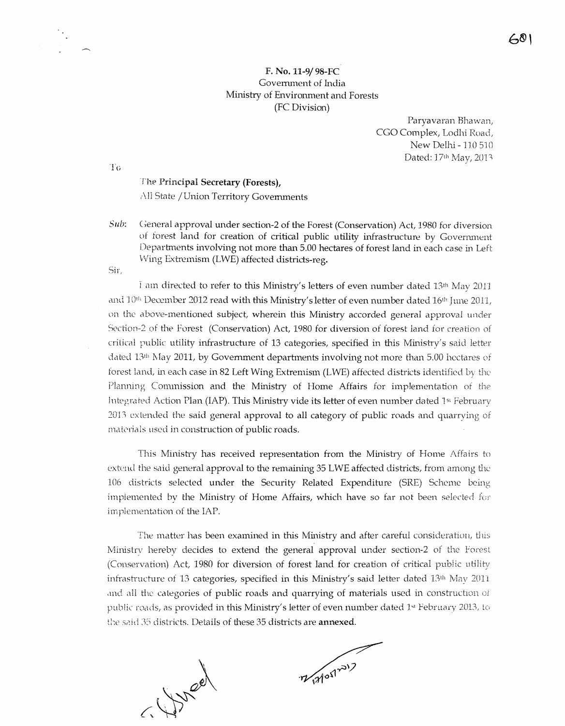## F. No. 11-9/98-FC Government of India Ministry of Environment and Forests (FC Division)

Paryavaran Bhawan, CGO Complex, Lodhi Road, New Delhi - 110 510 Dated: 17th May, 2013

 $\left[\begin{smallmatrix}1\ 1\ 1\end{smallmatrix}\right]$ 

The Principal Secretary (Forests), All State / Union Territory Governments

General approval under section-2 of the Forest (Conservation) Act, 1980 for diversion  $Sub:$ of forest land for creation of critical public utility infrastructure by Government Departments involving not more than 5.00 hectares of forest land in each case in Left Wing Extremism (LWE) affected districts-reg.

Sir,

I am directed to refer to this Ministry's letters of even number dated 13th May 2011 and  $10<sup>th</sup>$  December 2012 read with this Ministry's letter of even number dated  $16<sup>th</sup>$  June 2011, on the above-mentioned subject, wherein this Ministry accorded general approval under Section-2 of the Forest (Conservation) Act, 1980 for diversion of forest land for creation of critical public utility infrastructure of 13 categories, specified in this Ministry's said letter dated 13<sup>th</sup> May 2011, by Government departments involving not more than 5.00 hectares of forest land, in each case in 82 Left Wing Extremism (LWE) affected districts identified by the Planning Commission and the Ministry of Home Affairs for implementation of the Integrated Action Plan (IAP). This Ministry vide its letter of even number dated 1<sup>st</sup> February

2013 extended the said general approval to all category of public roads and quarrying of materials used in construction of public roads.

This Ministry has received representation from the Ministry of Home Affairs to extend the said general approval to the remaining 35 LWE affected districts, from among the 106 districts selected under the Security Related Expenditure (SRE) Scheme being implemented by the Ministry of Home Affairs, which have so far not been selected for implementation of the IAP.

The matter has been examined in this Ministry and after careful consideration, this Ministry hereby decides to extend the general approval under section-2 of the Forest (Conservation) Act, 1980 for diversion of forest land for creation of critical public utility infrastructure of 13 categories, specified in this Ministry's said letter dated 13th May 2011 and all the categories of public roads and quarrying of materials used in construction of public roads, as provided in this Ministry's letter of even number dated 1st February 2013, to the said 35 districts. Details of these 35 districts are annexed.

 $197000$ 

7/17/05/2017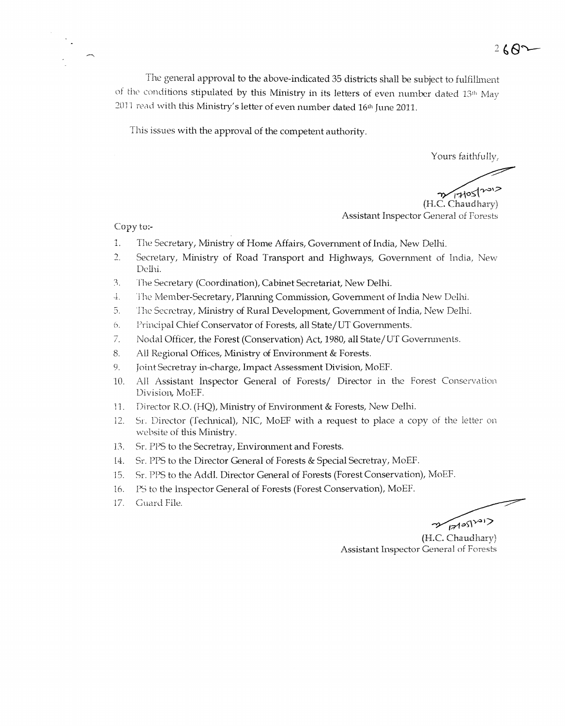$2682$ 

The general approval to the above-indicated 35 districts shall be subject to fulfillment of the conditions stipulated by this Ministry in its letters of even number dated 13th May 2011 read with this Ministry's letter of even number dated 16<sup>th</sup> June 2011.

This issues with the approval of the competent authority.

Yours faithfully,

 $T1051202$ (H.C. Chaudhary) Assistant Inspector General of Forests

Copy to:-

- The Secretary, Ministry of Home Affairs, Government of India, New Delhi.  $\vec{1}$ .
- $2.$ Secretary, Ministry of Road Transport and Highways, Government of India, New Delhi.
- The Secretary (Coordination), Cabinet Secretariat, New Delhi.  $\beta$ .
- The Member-Secretary, Planning Commission, Government of India New Delhi. 子.
- The Secretray, Ministry of Rural Development, Government of India, New Delhi. 5.
- Principal Chief Conservator of Forests, all State/UT Governments.  $\ddot{\theta}$ .
- 7. Nodal Officer, the Forest (Conservation) Act, 1980, all State/UT Governments.
- All Regional Offices, Ministry of Environment & Forests. 8.
- Joint Secretray in-charge, Impact Assessment Division, MoEF. 9.
- All Assistant Inspector General of Forests/ Director in the Forest Conservation 10. Division, MoEF.
- Director R.O. (HQ), Ministry of Environment & Forests, New Delhi.  $11.$
- Sr. Director (Technical), NIC, MoEF with a request to place a copy of the letter on 12. website of this Ministry.
- Sr. PPS to the Secretray, Environment and Forests. 13.
- Sr. PPS to the Director General of Forests & Special Secretray, MoEF. 14.
- Sr. PPS to the Addl. Director General of Forests (Forest Conservation), MoEF. 15.
- PS to the Inspector General of Forests (Forest Conservation), MoEF. 16.
- Guard File. 17.

 $\frac{1}{2}$ 

(H.C. Chaudhary) Assistant Inspector General of Forests